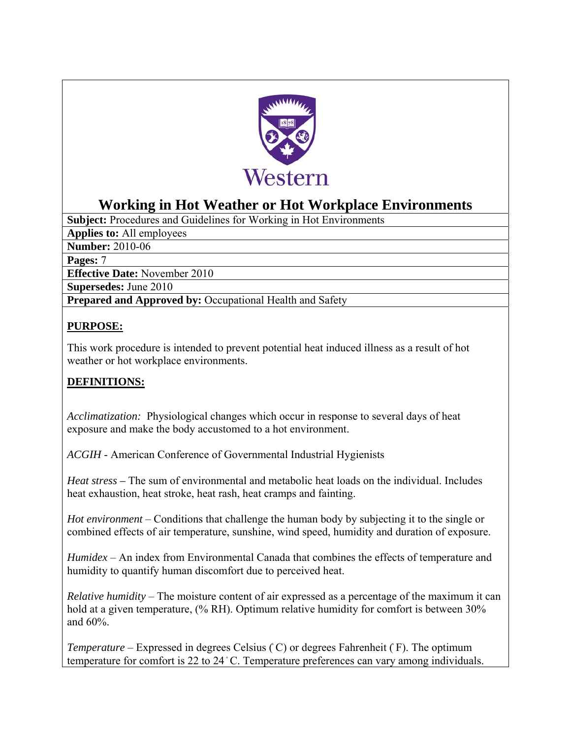

# **Working in Hot Weather or Hot Workplace Environments**

**Subject:** Procedures and Guidelines for Working in Hot Environments

**Applies to:** All employees

**Number:** 2010-06

**Pages:** 7

**Effective Date:** November 2010

**Supersedes:** June 2010

**Prepared and Approved by:** Occupational Health and Safety

## **PURPOSE:**

This work procedure is intended to prevent potential heat induced illness as a result of hot weather or hot workplace environments.

## **DEFINITIONS:**

*Acclimatization:* Physiological changes which occur in response to several days of heat exposure and make the body accustomed to a hot environment.

*ACGIH* - American Conference of Governmental Industrial Hygienists

*Heat stress –* The sum of environmental and metabolic heat loads on the individual. Includes heat exhaustion, heat stroke, heat rash, heat cramps and fainting.

*Hot environment* – Conditions that challenge the human body by subjecting it to the single or combined effects of air temperature, sunshine, wind speed, humidity and duration of exposure.

*Humidex* – An index from Environmental Canada that combines the effects of temperature and humidity to quantify human discomfort due to perceived heat.

*Relative humidity* – The moisture content of air expressed as a percentage of the maximum it can hold at a given temperature, (% RH). Optimum relative humidity for comfort is between 30% and 60%.

*Temperature* – Expressed in degrees Celsius  $(C)$  or degrees Fahrenheit  $(F)$ . The optimum temperature for comfort is 22 to 24 °C. Temperature preferences can vary among individuals.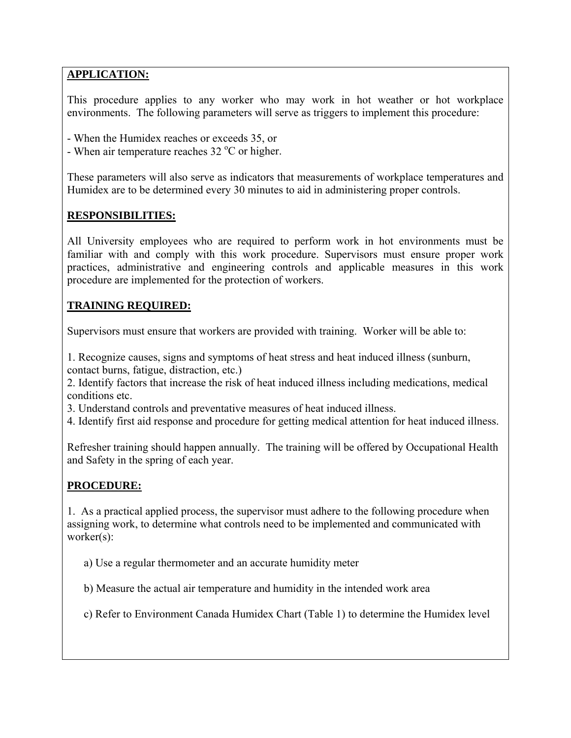## **APPLICATION:**

This procedure applies to any worker who may work in hot weather or hot workplace environments. The following parameters will serve as triggers to implement this procedure:

- When the Humidex reaches or exceeds 35, or
- When air temperature reaches  $32^{\circ}$ C or higher.

These parameters will also serve as indicators that measurements of workplace temperatures and Humidex are to be determined every 30 minutes to aid in administering proper controls.

### **RESPONSIBILITIES:**

All University employees who are required to perform work in hot environments must be familiar with and comply with this work procedure. Supervisors must ensure proper work practices, administrative and engineering controls and applicable measures in this work procedure are implemented for the protection of workers.

### **TRAINING REQUIRED:**

Supervisors must ensure that workers are provided with training. Worker will be able to:

1. Recognize causes, signs and symptoms of heat stress and heat induced illness (sunburn, contact burns, fatigue, distraction, etc.)

2. Identify factors that increase the risk of heat induced illness including medications, medical conditions etc.

3. Understand controls and preventative measures of heat induced illness.

3. Understand controls and preventative measures of heat induced illness. 4. Identify first aid response and procedure for getting medical attention for heat induced illness.

Refresher training should happen annually. The training will be offered by Occupational Health and Safety in the spring of each year.

### **PROCEDURE:**

1. As a practical applied process, the supervisor must adhere to the following procedure when assigning work, to determine what controls need to be implemented and communicated with worker(s):

a) Use a regular thermometer and an accurate humidity meter

b) Measure the actual air temperature and humidity in the intended work area

c) Refer to Environment Canada Humidex Chart (Table 1) to determine the Humidex level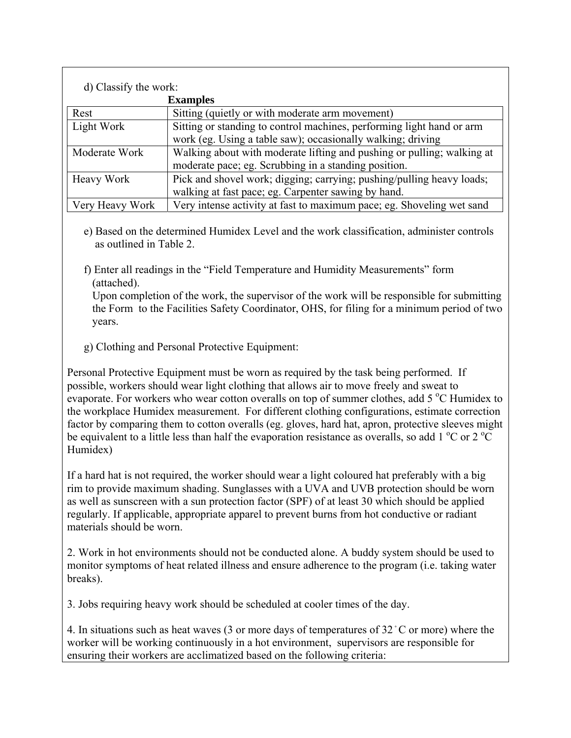| d) Classify the work: |                                                                        |  |  |  |  |  |  |
|-----------------------|------------------------------------------------------------------------|--|--|--|--|--|--|
|                       | <b>Examples</b>                                                        |  |  |  |  |  |  |
| Rest                  | Sitting (quietly or with moderate arm movement)                        |  |  |  |  |  |  |
| Light Work            | Sitting or standing to control machines, performing light hand or arm  |  |  |  |  |  |  |
|                       | work (eg. Using a table saw); occasionally walking; driving            |  |  |  |  |  |  |
| Moderate Work         | Walking about with moderate lifting and pushing or pulling; walking at |  |  |  |  |  |  |
|                       | moderate pace; eg. Scrubbing in a standing position.                   |  |  |  |  |  |  |
| Heavy Work            | Pick and shovel work; digging; carrying; pushing/pulling heavy loads;  |  |  |  |  |  |  |
|                       | walking at fast pace; eg. Carpenter sawing by hand.                    |  |  |  |  |  |  |
| Very Heavy Work       | Very intense activity at fast to maximum pace; eg. Shoveling wet sand  |  |  |  |  |  |  |

- e) Based on the determined Humidex Level and the work classification, administer controls as outlined in Table 2.
- f) Enter all readings in the "Field Temperature and Humidity Measurements" form (attached).

 Upon completion of the work, the supervisor of the work will be responsible for submitting the Form to the Facilities Safety Coordinator, OHS, for filing for a minimum period of two years.

g) Clothing and Personal Protective Equipment:

Personal Protective Equipment must be worn as required by the task being performed. If possible, workers should wear light clothing that allows air to move freely and sweat to evaporate. For workers who wear cotton overalls on top of summer clothes, add  $5^{\circ}$ C Humidex to the workplace Humidex measurement. For different clothing configurations, estimate correction factor by comparing them to cotton overalls (eg. gloves, hard hat, apron, protective sleeves might be equivalent to a little less than half the evaporation resistance as overalls, so add 1  $\rm{^{\circ}C}$  or 2  $\rm{^{\circ}C}$ Humidex)

If a hard hat is not required, the worker should wear a light coloured hat preferably with a big rim to provide maximum shading. Sunglasses with a UVA and UVB protection should be worn as well as sunscreen with a sun protection factor (SPF) of at least 30 which should be applied regularly. If applicable, appropriate apparel to prevent burns from hot conductive or radiant materials should be worn.

2. Work in hot environments should not be conducted alone. A buddy system should be used to monitor symptoms of heat related illness and ensure adherence to the program (i.e. taking water breaks).

3. Jobs requiring heavy work should be scheduled at cooler times of the day.

4. In situations such as heat waves (3 or more days of temperatures of  $32^{\circ}$ C or more) where the worker will be working continuously in a hot environment, supervisors are responsible for ensuring their workers are acclimatized based on the following criteria: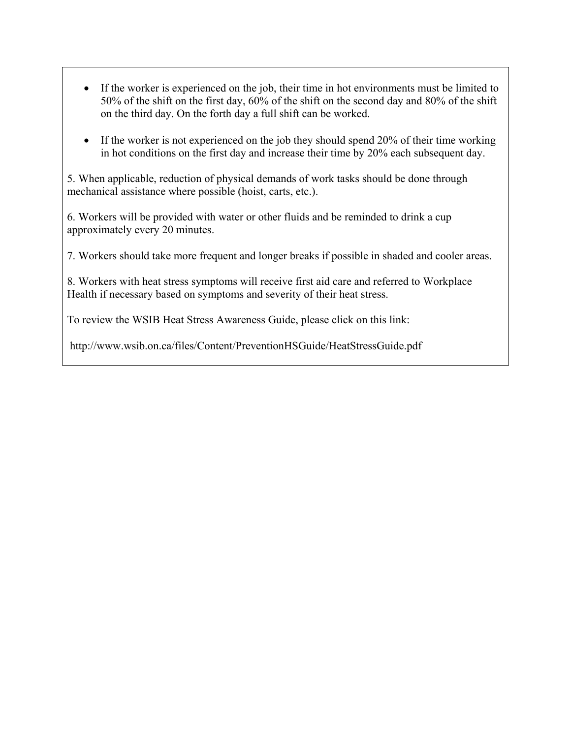- If the worker is experienced on the job, their time in hot environments must be limited to 50% of the shift on the first day, 60% of the shift on the second day and 80% of the shift on the third day. On the forth day a full shift can be worked.
- If the worker is not experienced on the job they should spend 20% of their time working in hot conditions on the first day and increase their time by 20% each subsequent day.

5. When applicable, reduction of physical demands of work tasks should be done through mechanical assistance where possible (hoist, carts, etc.).

6. Workers will be provided with water or other fluids and be reminded to drink a cup approximately every 20 minutes.

7. Workers should take more frequent and longer breaks if possible in shaded and cooler areas.

8. Workers with heat stress symptoms will receive first aid care and referred to Workplace Health if necessary based on symptoms and severity of their heat stress.

To review the WSIB Heat Stress Awareness Guide, please click on this link:

http://www.wsib.on.ca/files/Content/PreventionHSGuide/HeatStressGuide.pdf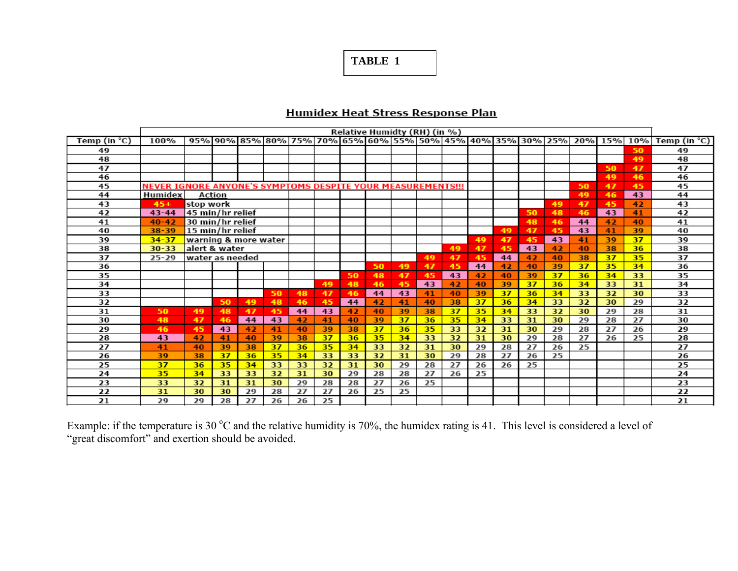## **TABLE 1**

#### **Hum** Mex H eat Stress R,espons.e **Plan**

|                 | Relative Humidty (RH) (in %)                                |                  |        |                      |    |    |    |    |                                                             |    |    |    |    |    |    |    |    |         |     |                 |
|-----------------|-------------------------------------------------------------|------------------|--------|----------------------|----|----|----|----|-------------------------------------------------------------|----|----|----|----|----|----|----|----|---------|-----|-----------------|
| Temp (in $°C$ ) | 100%                                                        |                  |        |                      |    |    |    |    | 95% 90% 85% 80% 75% 70% 65% 60% 55% 90% 45% 40% 35% 30% 25% |    |    |    |    |    |    |    |    | 20% 15% | 10% | Temp (in $°C$ ) |
| 49              |                                                             |                  |        |                      |    |    |    |    |                                                             |    |    |    |    |    |    |    |    |         | 50  | 49              |
| 48              |                                                             |                  |        |                      |    |    |    |    |                                                             |    |    |    |    |    |    |    |    |         | 49  | 48              |
| 47              |                                                             |                  |        |                      |    |    |    |    |                                                             |    |    |    |    |    |    |    |    | 50      | 47  | 47              |
| 46              |                                                             |                  |        |                      |    |    |    |    |                                                             |    |    |    |    |    |    |    |    | 49      | 46  | 46              |
| 45              | NEVER IGNORE ANYONE'S SYMPTOMS DESPITE YOUR MEASUREMENTS!!! |                  |        |                      |    |    |    |    |                                                             |    |    |    |    |    |    |    | 50 | 47      | 45  | 45              |
| 44              | Humidex                                                     |                  | Action |                      |    |    |    |    |                                                             |    |    |    |    |    |    |    | 49 | 46      | 43  | 44              |
| 43              | $45+$                                                       | stop work        |        |                      |    |    |    |    |                                                             |    |    |    |    |    |    | 49 | 47 | 45      | 42  | 43              |
| 42              | $43 - 44$                                                   | 45 min/hr relief |        |                      |    |    |    |    |                                                             |    |    |    |    |    | 50 | 48 | 46 | 43      | 41  | 42              |
| 41              | $40 - 42$                                                   | 30 min/hr relief |        |                      |    |    |    |    |                                                             |    |    |    |    |    | 48 | 46 | 44 | 42      | 40  | 41              |
| 40              | $38 - 39$                                                   | 15 min/hr relief |        |                      |    |    |    |    |                                                             |    |    |    |    | 49 | 47 | 45 | 43 | 41      | 39  | 40              |
| 39              | $34 - 37$                                                   |                  |        | warning & more water |    |    |    |    |                                                             |    |    |    | 49 | 47 | 45 | 43 | 41 | 39      | 37  | 39              |
| 38              | $30 - 33$                                                   | alert & water    |        |                      |    |    |    |    |                                                             |    |    | 49 | 47 | 45 | 43 | 42 | 40 | 38      | 36  | 38              |
| 37              | $25 - 29$                                                   | water as needed  |        |                      |    |    |    |    |                                                             |    | 49 | 47 | 45 | 44 | 42 | 40 | 38 | 37      | 35  | 37              |
| 36              |                                                             |                  |        |                      |    |    |    |    | 50                                                          | 49 | 47 | 45 | 44 | 42 | 40 | 39 | 37 | 35      | 34  | 36              |
| 35              |                                                             |                  |        |                      |    |    |    | 50 | 48                                                          | 47 | 45 | 43 | 42 | 40 | 39 | 37 | 36 | 34      | 33  | 35              |
| 34              |                                                             |                  |        |                      |    |    | 49 | 48 | 46                                                          | 45 | 43 | 42 | 40 | 39 | 37 | 36 | 34 | 33      | 31  | 34              |
| 33              |                                                             |                  |        |                      | 50 | 48 | 47 | 46 | 44                                                          | 43 | 41 | 40 | 39 | 37 | 36 | 34 | 33 | 32      | 30  | 33              |
| 32              |                                                             |                  | 50     | 49                   | 48 | 46 | 45 | 44 | 42                                                          | 41 | 40 | 38 | 37 | 36 | 34 | 33 | 32 | 30      | 29  | 32              |
| 31              | 50                                                          | 49               | 48     | 47                   | 45 | 44 | 43 | 42 | 40                                                          | 39 | 38 | 37 | 35 | 34 | 33 | 32 | 30 | 29      | 28  | 31              |
| 30              | 48                                                          | 47               | 46     | 44                   | 43 | 42 | 41 | 40 | 39                                                          | 37 | 36 | 35 | 34 | 33 | 31 | 30 | 29 | 28      | 27  | 30              |
| 29              | 46                                                          | 45               | 43     | 42                   | 41 | 40 | 39 | 38 | 37                                                          | 36 | 35 | 33 | 32 | 31 | 30 | 29 | 28 | 27      | 26  | 29              |
| 28              | 43                                                          | 42               | 41     | 40                   | 39 | 38 | 37 | 36 | 35                                                          | 34 | 33 | 32 | 31 | 30 | 29 | 28 | 27 | 26      | 25  | 28              |
| 27              | 41                                                          | 40               | 39     | 38                   | 37 | 36 | 35 | 34 | 33                                                          | 32 | 31 | 30 | 29 | 28 | 27 | 26 | 25 |         |     | 27              |
| 26              | 39                                                          | 38               | 37     | 36                   | 35 | 34 | 33 | 33 | 32                                                          | 31 | 30 | 29 | 28 | 27 | 26 | 25 |    |         |     | 26              |
| 25              | 37                                                          | 36               | 35     | 34                   | 33 | 33 | 32 | 31 | 30                                                          | 29 | 28 | 27 | 26 | 26 | 25 |    |    |         |     | 25              |
| 24              | 35                                                          | 34               | 33     | 33                   | 32 | 31 | 30 | 29 | 28                                                          | 28 | 27 | 26 | 25 |    |    |    |    |         |     | 24              |
| 23              | 33                                                          | 32               | 31     | 31                   | 30 | 29 | 28 | 28 | 27                                                          | 26 | 25 |    |    |    |    |    |    |         |     | 23              |
| 22              | 31                                                          | 30               | 30     | 29                   | 28 | 27 | 27 | 26 | 25                                                          | 25 |    |    |    |    |    |    |    |         |     | 22              |
| 21              | 29                                                          | 29               | 28     | 27                   | 26 | 26 | 25 |    |                                                             |    |    |    |    |    |    |    |    |         |     | 21              |

Example: if the temperature is 30  $\degree$ C and the relative humidity is 70%, the humidex rating is 41. This level is considered a level of "great discomfort" and exertion should be avoided.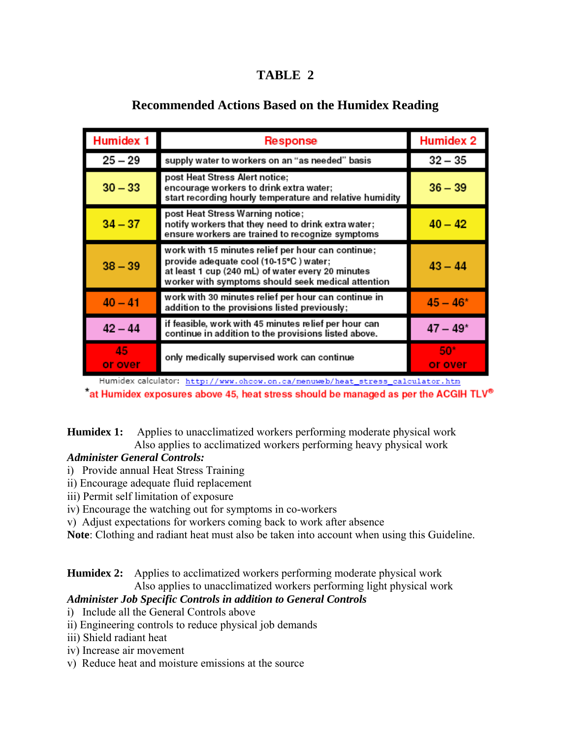## **TABLE 2**

| <b>Humidex 1</b> | Response                                                                                                                                                                                                | <b>Humidex 2</b> |
|------------------|---------------------------------------------------------------------------------------------------------------------------------------------------------------------------------------------------------|------------------|
| $25 - 29$        | supply water to workers on an "as needed" basis                                                                                                                                                         | $32 - 35$        |
| $30 - 33$        | post Heat Stress Alert notice;<br>encourage workers to drink extra water;<br>start recording hourly temperature and relative humidity                                                                   | $36 - 39$        |
| $34 - 37$        | post Heat Stress Warning notice;<br>notify workers that they need to drink extra water;<br>ensure workers are trained to recognize symptoms                                                             | $40 - 42$        |
| $38 - 39$        | work with 15 minutes relief per hour can continue;<br>provide adequate cool (10-15°C) water;<br>at least 1 cup (240 mL) of water every 20 minutes<br>worker with symptoms should seek medical attention | $43 - 44$        |
| $40 - 41$        | work with 30 minutes relief per hour can continue in<br>addition to the provisions listed previously;                                                                                                   | $45 - 46*$       |
| $42 - 44$        | if feasible, work with 45 minutes relief per hour can<br>continue in addition to the provisions listed above.                                                                                           | $47 - 49*$       |
| 45<br>or over    | only medically supervised work can continue                                                                                                                                                             | 50*<br>or over   |

## **Recommended Actions Based on the Humidex Reading**

Humidex calculator: http://www.ohcow.on.ca/menuweb/heat\_stress\_calculator.htm

 $\textdegree$  at Humidex exposures above 45, heat stress should be managed as per the ACGIH TLV<sup>®</sup>

**Humidex 1:** Applies to unacclimatized workers performing moderate physical work Also applies to acclimatized workers performing heavy physical work

## *Administer General Controls:*

- i) Provide annual Heat Stress Training
- ii) Encourage adequate fluid replacement
- iii) Permit self limitation of exposure
- iv) Encourage the watching out for symptoms in co-workers
- v) Adjust expectations for workers coming back to work after absence

**Note**: Clothing and radiant heat must also be taken into account when using this Guideline.

**Humidex 2:** Applies to acclimatized workers performing moderate physical work Also applies to unacclimatized workers performing light physical work

## *Administer Job Specific Controls in addition to General Controls*

- i) Include all the General Controls above
- ii) Engineering controls to reduce physical job demands
- iii) Shield radiant heat
- iv) Increase air movement
- v) Reduce heat and moisture emissions at the source